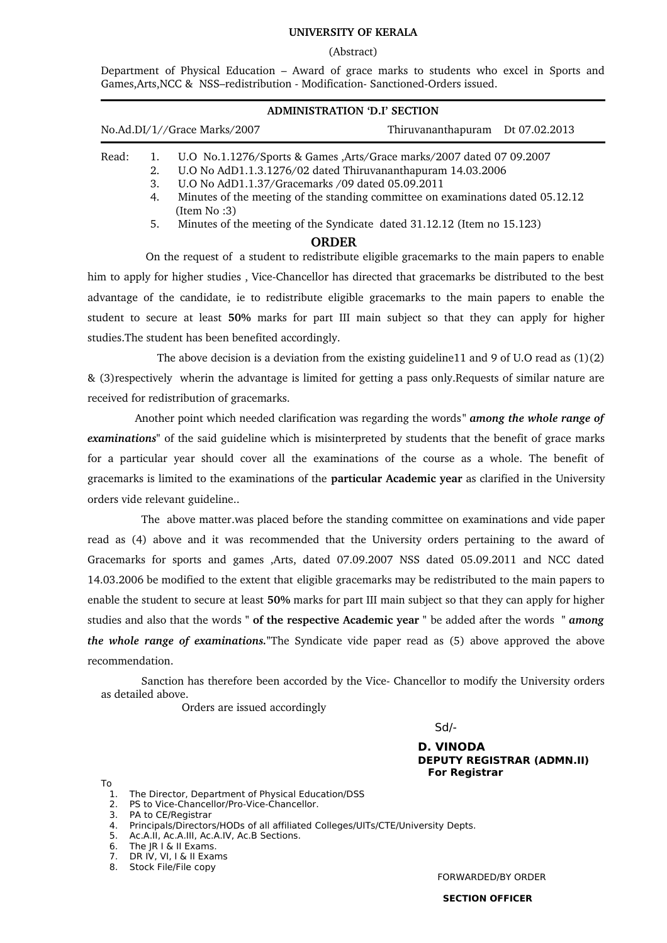## **UNIVERSITY OF KERALA**

### (Abstract)

Department of Physical Education – Award of grace marks to students who excel in Sports and Games, Arts, NCC & NSS-redistribution - Modification-Sanctioned-Orders issued.

| <b>ADMINISTRATION 'D.I' SECTION</b> |                |                                                                                                                                                                                                                                                                                            |                                  |  |  |  |  |
|-------------------------------------|----------------|--------------------------------------------------------------------------------------------------------------------------------------------------------------------------------------------------------------------------------------------------------------------------------------------|----------------------------------|--|--|--|--|
| No.Ad.DI/1//Grace Marks/2007        |                |                                                                                                                                                                                                                                                                                            | Thiruvananthapuram Dt 07.02.2013 |  |  |  |  |
| Read:                               | 2.<br>3.<br>4. | U.O No.1.1276/Sports & Games , Arts/Grace marks/2007 dated 07 09.2007<br>U.O No AdD1.1.3.1276/02 dated Thiruvananthapuram 14.03.2006<br>U.O No AdD1.1.37/Gracemarks /09 dated 05.09.2011<br>Minutes of the meeting of the standing committee on examinations dated 05.12.12<br>(Item No:3) |                                  |  |  |  |  |
|                                     | 5.             | Minutes of the meeting of the Syndicate dated 31.12.12 (Item no 15.123)                                                                                                                                                                                                                    |                                  |  |  |  |  |

## **ORDER**

On the request of a student to redistribute eligible gracemarks to the main papers to enable him to apply for higher studies, Vice-Chancellor has directed that gracemarks be distributed to the best advantage of the candidate, ie to redistribute eligible gracemarks to the main papers to enable the student to secure at least **50%** marks for part III main subject so that they can apply for higher studies.The student has been benefited accordingly.

 The above decision is a deviation from the existing guideline11 and 9 of U.O read as (1)(2) & (3)respectively wherin the advantage is limited for getting a pass only.Requests of similar nature are received for redistribution of gracemarks.

 Another point which needed clarification was regarding the words *" among the whole range of examinations"* of the said guideline which is misinterpreted by students that the benefit of grace marks for a particular year should cover all the examinations of the course as a whole. The benefit of gracemarks is limited to the examinations of the **particular Academic year** as clarified in the University orders vide relevant guideline..

 The above matter.was placed before the standing committee on examinations and vide paper read as (4) above and it was recommended that the University orders pertaining to the award of Gracemarks for sports and games ,Arts, dated 07.09.2007 NSS dated 05.09.2011 and NCC dated 14.03.2006 be modified to the extent that eligible gracemarks may be redistributed to the main papers to enable the student to secure at least **50%** marks for part III main subject so that they can apply for higher studies and also that the words **" of the respective Academic year "** be added after the words *" among the whole range of examinations."*The Syndicate vide paper read as (5) above approved the above recommendation.

Sanction has therefore been accorded by the Vice Chancellor to modify the University orders as detailed above.

Orders are issued accordingly

Sd/-

## **D. VINODA DEPUTY REGISTRAR (ADMN.II) For Registrar**

To

- 1. The Director, Department of Physical Education/DSS<br>2. PS to Vice-Chancellor/Pro-Vice-Chancellor.
- PS to Vice-Chancellor/Pro-Vice-Chancellor.
- 3. PA to CE/Registrar
- 4. Principals/Directors/HODs of all affiliated Colleges/UITs/CTE/University Depts.
- 5. Ac.A.II, Ac.A.III, Ac.A.IV, Ac.B Sections.
- 6. The JR I & II Exams.
- 7. DR IV, VI, I & II Exams
- 8. Stock File/File copy

FORWARDED/BY ORDER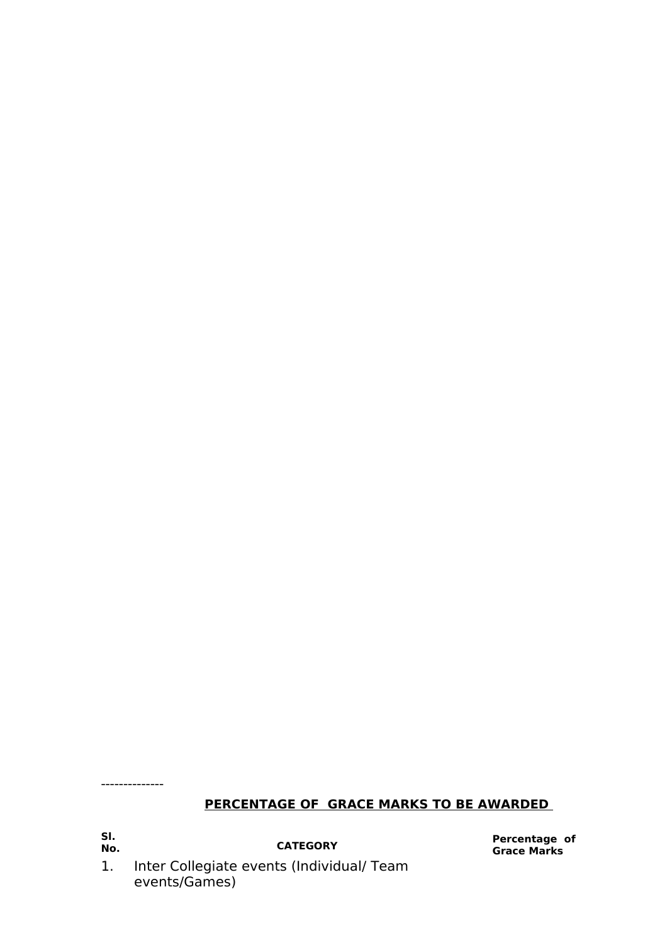--------------

# **PERCENTAGE OF GRACE MARKS TO BE AWARDED**

**Sl.**

**No. CATEGORY Percentage of Grace Marks** 

1. Inter Collegiate events (Individual/ Team events/Games)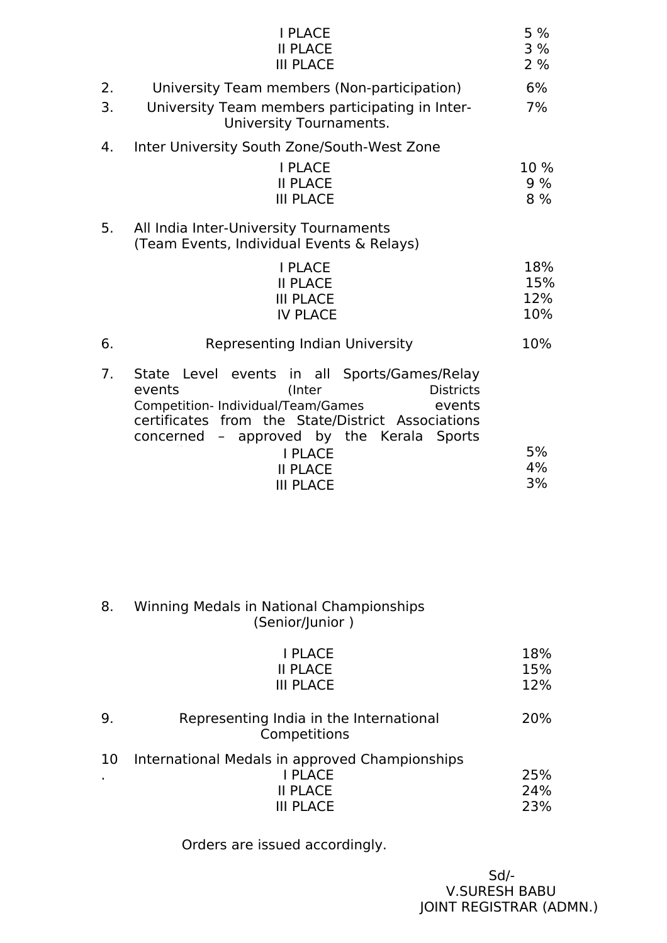|    | <b>I PLACE</b><br><b>II PLACE</b><br><b>III PLACE</b>                                                                                                                                                                                                                                                 | 5%<br>3%<br>2%           |
|----|-------------------------------------------------------------------------------------------------------------------------------------------------------------------------------------------------------------------------------------------------------------------------------------------------------|--------------------------|
| 2. | University Team members (Non-participation)                                                                                                                                                                                                                                                           | 6%                       |
| 3. | University Team members participating in Inter-<br>University Tournaments.                                                                                                                                                                                                                            |                          |
| 4. | Inter University South Zone/South-West Zone                                                                                                                                                                                                                                                           |                          |
|    | <b>I PLACE</b><br><b>II PLACE</b><br><b>III PLACE</b>                                                                                                                                                                                                                                                 | 10%<br>9%<br>8 %         |
| 5. | All India Inter-University Tournaments<br>(Team Events, Individual Events & Relays)                                                                                                                                                                                                                   |                          |
|    | <b>I PLACE</b><br><b>II PLACE</b><br><b>III PLACE</b><br><b>IV PLACE</b>                                                                                                                                                                                                                              | 18%<br>15%<br>12%<br>10% |
| 6. | Representing Indian University                                                                                                                                                                                                                                                                        | 10%                      |
| 7. | State Level events in all Sports/Games/Relay<br>events<br><b>Districts</b><br>(Inter<br>Competition- Individual/Team/Games<br>events<br>from the State/District Associations<br>certificates<br>- approved by the Kerala Sports<br>concerned<br><b>I PLACE</b><br><b>II PLACE</b><br><b>III PLACE</b> | 5%<br>4%<br>3%           |

## 8. Winning Medals in National Championships (Senior/Junior )

|         | I PLACE<br><b>II PLACE</b><br><b>III PLACE</b>                                                          | 18%<br>15%<br>12% |
|---------|---------------------------------------------------------------------------------------------------------|-------------------|
| 9.      | Representing India in the International<br>Competitions                                                 | 20%               |
| 10<br>٠ | International Medals in approved Championships<br><b>I PLACE</b><br><b>II PLACE</b><br><b>III PLACE</b> | 25%<br>24%<br>23% |

Orders are issued accordingly.

Sd/- V.SURESH BABU JOINT REGISTRAR (ADMN.)